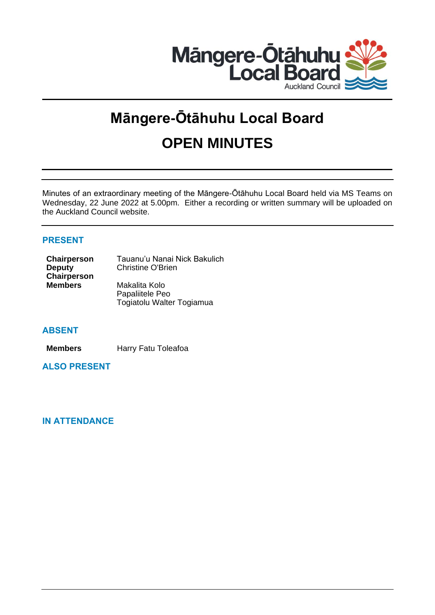

# **Māngere-Ōtāhuhu Local Board OPEN MINUTES**

Minutes of an extraordinary meeting of the Māngere-Ōtāhuhu Local Board held via MS Teams on Wednesday, 22 June 2022 at 5.00pm. Either a recording or written summary will be uploaded on the Auckland Council website.

# **PRESENT**

| Chairperson    | Tauanu'u Nanai Nick Bakulich |
|----------------|------------------------------|
| <b>Deputy</b>  | <b>Christine O'Brien</b>     |
| Chairperson    |                              |
| <b>Members</b> | Makalita Kolo                |
|                | Papaliitele Peo              |
|                | Togiatolu Walter Togiamua    |

## **ABSENT**

**Members** Harry Fatu Toleafoa

**ALSO PRESENT**

# **IN ATTENDANCE**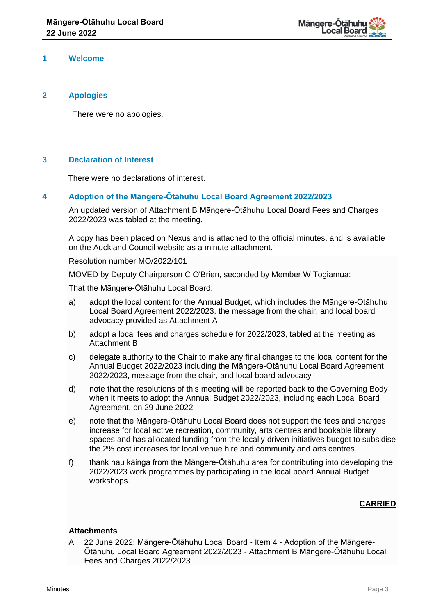

#### **1 Welcome**

#### **2 Apologies**

There were no apologies.

#### **3 Declaration of Interest**

There were no declarations of interest.

#### **4 Adoption of the Māngere-Ōtāhuhu Local Board Agreement 2022/2023**

An updated version of Attachment B Māngere-Ōtāhuhu Local Board Fees and Charges 2022/2023 was tabled at the meeting.

A copy has been placed on Nexus and is attached to the official minutes, and is available on the Auckland Council website as a minute attachment.

Resolution number MO/2022/101

MOVED by Deputy Chairperson C O'Brien, seconded by Member W Togiamua:

That the Māngere-Ōtāhuhu Local Board:

- a) adopt the local content for the Annual Budget, which includes the Māngere-Ōtāhuhu Local Board Agreement 2022/2023, the message from the chair, and local board advocacy provided as Attachment A
- b) adopt a local fees and charges schedule for 2022/2023, tabled at the meeting as Attachment B
- c) delegate authority to the Chair to make any final changes to the local content for the Annual Budget 2022/2023 including the Māngere-Ōtāhuhu Local Board Agreement 2022/2023, message from the chair, and local board advocacy
- d) note that the resolutions of this meeting will be reported back to the Governing Body when it meets to adopt the Annual Budget 2022/2023, including each Local Board Agreement, on 29 June 2022
- e) note that the Māngere-Ōtāhuhu Local Board does not support the fees and charges increase for local active recreation, community, arts centres and bookable library spaces and has allocated funding from the locally driven initiatives budget to subsidise the 2% cost increases for local venue hire and community and arts centres
- f) thank hau kāinga from the Māngere-Ōtāhuhu area for contributing into developing the 2022/2023 work programmes by participating in the local board Annual Budget workshops.

## **CARRIED**

#### **Attachments**

A 22 June 2022: Māngere-Ōtāhuhu Local Board - Item 4 - Adoption of the Māngere-Ōtāhuhu Local Board Agreement 2022/2023 - Attachment B Māngere-Ōtāhuhu Local Fees and Charges 2022/2023